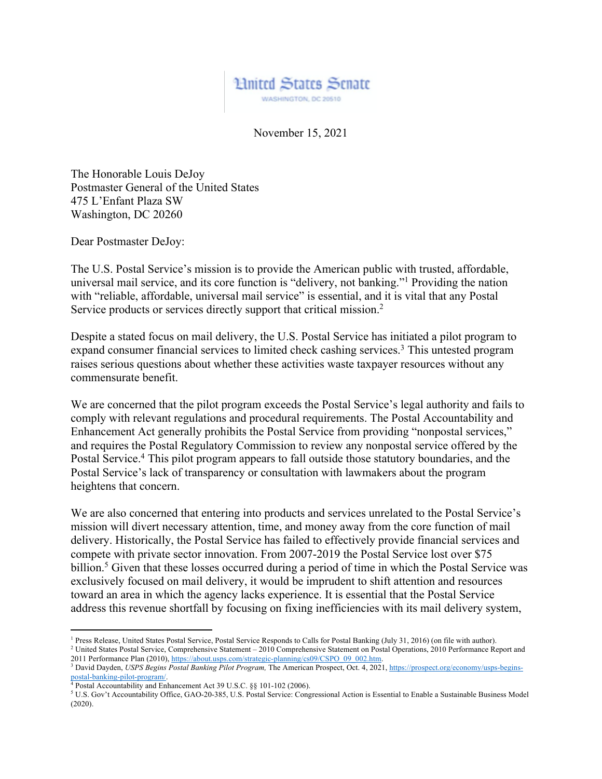

November 15, 2021

The Honorable Louis DeJoy Postmaster General of the United States 475 L'Enfant Plaza SW Washington, DC 20260

Dear Postmaster DeJoy:

The U.S. Postal Service's mission is to provide the American public with trusted, affordable, universal mail service, and its core function is "delivery, not banking."1 Providing the nation with "reliable, affordable, universal mail service" is essential, and it is vital that any Postal Service products or services directly support that critical mission.<sup>2</sup>

Despite a stated focus on mail delivery, the U.S. Postal Service has initiated a pilot program to expand consumer financial services to limited check cashing services.<sup>3</sup> This untested program raises serious questions about whether these activities waste taxpayer resources without any commensurate benefit.

We are concerned that the pilot program exceeds the Postal Service's legal authority and fails to comply with relevant regulations and procedural requirements. The Postal Accountability and Enhancement Act generally prohibits the Postal Service from providing "nonpostal services," and requires the Postal Regulatory Commission to review any nonpostal service offered by the Postal Service.<sup>4</sup> This pilot program appears to fall outside those statutory boundaries, and the Postal Service's lack of transparency or consultation with lawmakers about the program heightens that concern.

We are also concerned that entering into products and services unrelated to the Postal Service's mission will divert necessary attention, time, and money away from the core function of mail delivery. Historically, the Postal Service has failed to effectively provide financial services and compete with private sector innovation. From 2007-2019 the Postal Service lost over \$75 billion.<sup>5</sup> Given that these losses occurred during a period of time in which the Postal Service was exclusively focused on mail delivery, it would be imprudent to shift attention and resources toward an area in which the agency lacks experience. It is essential that the Postal Service address this revenue shortfall by focusing on fixing inefficiencies with its mail delivery system,

<sup>&</sup>lt;sup>1</sup> Press Release, United States Postal Service, Postal Service Responds to Calls for Postal Banking (July 31, 2016) (on file with author).<br><sup>2</sup> United States Postal Service, Comprehensive Statement – 2010 Comprehensive St

<sup>2011</sup> Performance Plan (2010), https://about.usps.com/strategic-planning/cs09/CSPO\_09\_002.htm. 3 David Dayden, *USPS Begins Postal Banking Pilot Program*, The American Prospect, Oct. 4, 2021, https://prospect.org/economy/usps-begins-<br>
2021, https://prospect.org/economy/usps-begins-<br>
<sup>4</sup> Dostal Agooutsbility or 4 Exp

 $^4$  Postal Accountability and Enhancement Act 39 U.S.C. §§ 101-102 (2006).<br><sup>5</sup> U.S. Gov't Accountability Office, GAO-20-385, U.S. Postal Service: Congressional Action is Essential to Enable a Sustainable Business Model (2020).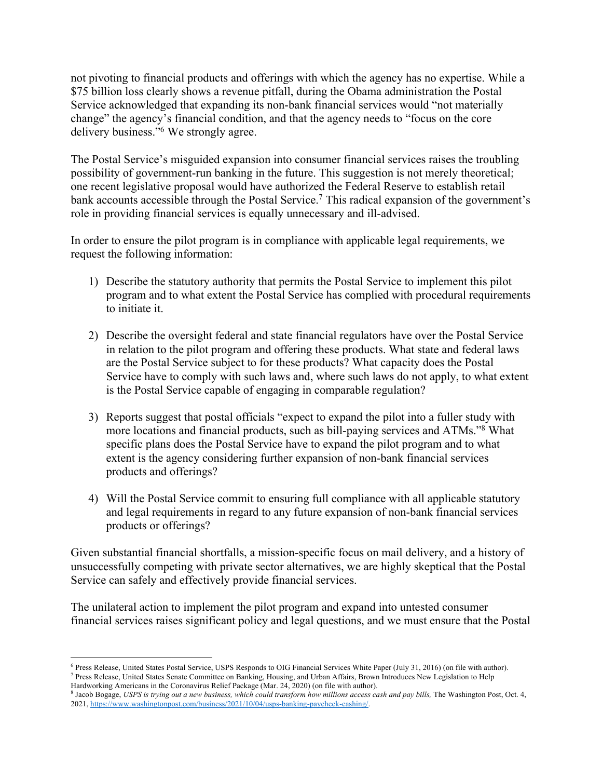not pivoting to financial products and offerings with which the agency has no expertise. While a \$75 billion loss clearly shows a revenue pitfall, during the Obama administration the Postal Service acknowledged that expanding its non-bank financial services would "not materially change" the agency's financial condition, and that the agency needs to "focus on the core delivery business."6 We strongly agree.

The Postal Service's misguided expansion into consumer financial services raises the troubling possibility of government-run banking in the future. This suggestion is not merely theoretical; one recent legislative proposal would have authorized the Federal Reserve to establish retail bank accounts accessible through the Postal Service.<sup>7</sup> This radical expansion of the government's role in providing financial services is equally unnecessary and ill-advised.

In order to ensure the pilot program is in compliance with applicable legal requirements, we request the following information:

- 1) Describe the statutory authority that permits the Postal Service to implement this pilot program and to what extent the Postal Service has complied with procedural requirements to initiate it.
- 2) Describe the oversight federal and state financial regulators have over the Postal Service in relation to the pilot program and offering these products. What state and federal laws are the Postal Service subject to for these products? What capacity does the Postal Service have to comply with such laws and, where such laws do not apply, to what extent is the Postal Service capable of engaging in comparable regulation?
- 3) Reports suggest that postal officials "expect to expand the pilot into a fuller study with more locations and financial products, such as bill-paying services and ATMs."8 What specific plans does the Postal Service have to expand the pilot program and to what extent is the agency considering further expansion of non-bank financial services products and offerings?
- 4) Will the Postal Service commit to ensuring full compliance with all applicable statutory and legal requirements in regard to any future expansion of non-bank financial services products or offerings?

Given substantial financial shortfalls, a mission-specific focus on mail delivery, and a history of unsuccessfully competing with private sector alternatives, we are highly skeptical that the Postal Service can safely and effectively provide financial services.

The unilateral action to implement the pilot program and expand into untested consumer financial services raises significant policy and legal questions, and we must ensure that the Postal

<sup>6</sup> Press Release, United States Postal Service, USPS Responds to OIG Financial Services White Paper (July 31, 2016) (on file with author). <sup>7</sup> Press Release, United States Senate Committee on Banking, Housing, and Urban Affairs, Brown Introduces New Legislation to Help

Hardworking Americans in the Coronavirus Relief Package (Mar. 24, 2020) (on file with author).

<sup>8</sup> Jacob Bogage, *USPS is trying out a new business, which could transform how millions access cash and pay bills,* The Washington Post, Oct. 4, 2021, https://www.washingtonpost.com/business/2021/10/04/usps-banking-paycheck-cashing/.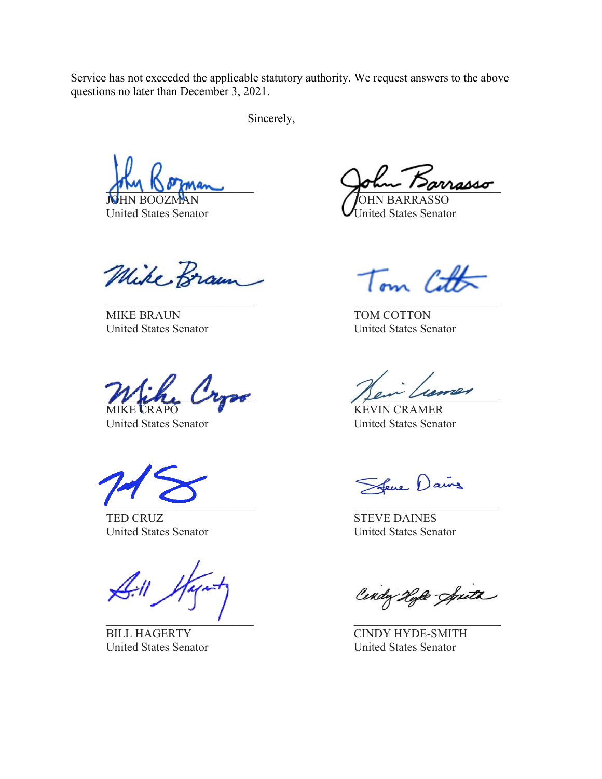Service has not exceeded the applicable statutory authority. We request answers to the above questions no later than December 3, 2021.

Sincerely,

Mike Braun

MIKE BRAUN TOM COTTON

Winker Cross Jen Limer MIKE CRAPO WEIGHT KEVIN CRAMER

 $\mathcal{L}=\mathcal{L}=\mathcal{L}=\mathcal{L}=\mathcal{L}=\mathcal{L}=\mathcal{L}=\mathcal{L}=\mathcal{L}=\mathcal{L}=\mathcal{L}=\mathcal{L}=\mathcal{L}=\mathcal{L}=\mathcal{L}=\mathcal{L}=\mathcal{L}=\mathcal{L}=\mathcal{L}=\mathcal{L}=\mathcal{L}=\mathcal{L}=\mathcal{L}=\mathcal{L}=\mathcal{L}=\mathcal{L}=\mathcal{L}=\mathcal{L}=\mathcal{L}=\mathcal{L}=\mathcal{L}=\mathcal{L}=\mathcal{L}=\mathcal{L}=\mathcal{L}=\mathcal{L}=\mathcal{$ 

TED CRUZ STEVE DAINES United States Senator United States Senator

 $\mathcal{L}_\text{max}$  , and the contract of the contract of the contract of the contract of the contract of the contract of

United States Senator United States Senator

 $\nu$ rass $\sigma$ 

OHN BARRA United States Senator **U**nited States Senator

Tom Cott

United States Senator United States Senator

United States Senator United States Senator

Sfeve Dains

Cendy Hyle-Spith

BILL HAGERTY CINDY HYDE-SMITH